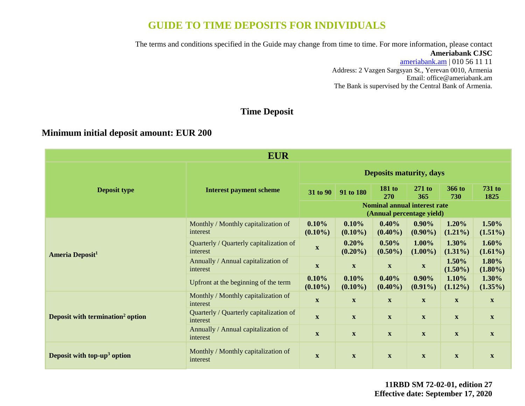# **GUIDE TO TIME DEPOSITS FOR INDIVIDUALS**

The terms and conditions specified in the Guide may change from time to time. For more information, please contact

#### **Ameriabank CJSC**

[ameriabank.am](https://ameriabank.am/default.aspx?lang=28) | 010 56 11 11 Address: 2 Vazgen Sargsyan St., Yerevan 0010, Armenia Email: [office@ameriabank.am](file:///C:/Users/marine%20ohanjanyan/Desktop/New%20deposit%20leaflets/office@ameriabank.am) The Bank is supervised by the Central Bank of Armenia.

## **Time Deposit**

### **Minimum initial deposit amount: EUR 200**

| <b>EUR</b>                                                                              |                                                     |                                                                  |                           |                           |                           |                           |                           |
|-----------------------------------------------------------------------------------------|-----------------------------------------------------|------------------------------------------------------------------|---------------------------|---------------------------|---------------------------|---------------------------|---------------------------|
|                                                                                         |                                                     | <b>Deposits maturity, days</b>                                   |                           |                           |                           |                           |                           |
| Deposit type                                                                            | <b>Interest payment scheme</b>                      | 31 to 90                                                         | 91 to 180                 | <b>181 to</b><br>270      | $271$ to<br>365           | 366 to<br>730             | <b>731 to</b><br>1825     |
|                                                                                         |                                                     | <b>Nominal annual interest rate</b><br>(Annual percentage yield) |                           |                           |                           |                           |                           |
|                                                                                         | Monthly / Monthly capitalization of<br>interest     | 0.10%<br>$(0.10\%)$                                              | 0.10%<br>$(0.10\%)$       | 0.40%<br>$(0.40\%)$       | $0.90\%$<br>$(0.90\%)$    | 1.20%<br>$(1.21\%)$       | 1.50%<br>$(1.51\%)$       |
| <b>Ameria Deposit<sup>1</sup></b>                                                       | Quarterly / Quarterly capitalization of<br>interest | $\mathbf{X}$                                                     | 0.20%<br>$(0.20\%)$       | 0.50%<br>$(0.50\%)$       | 1.00%<br>$(1.00\%)$       | 1.30%<br>$(1.31\%)$       | 1.60%<br>$(1.61\%)$       |
| Annually / Annual capitalization of<br>interest<br>Upfront at the beginning of the term |                                                     | $\mathbf{X}$                                                     | $\mathbf X$               | $\mathbf X$               | $\mathbf X$               | 1.50%<br>$(1.50\%)$       | 1.80%<br>$(1.80\%)$       |
|                                                                                         |                                                     | 0.10%<br>$(0.10\%)$                                              | 0.10%<br>$(0.10\%)$       | 0.40%<br>$(0.40\%)$       | $0.90\%$<br>$(0.91\%)$    | 1.10%<br>$(1.12\%)$       | 1.30%<br>$(1.35\%)$       |
|                                                                                         | Monthly / Monthly capitalization of<br>interest     | $\mathbf{X}$                                                     | $\boldsymbol{\mathrm{X}}$ | $\mathbf X$               | $\boldsymbol{\mathrm{X}}$ | $\boldsymbol{\mathrm{X}}$ | $\boldsymbol{\mathrm{X}}$ |
| Deposit with termination <sup>2</sup> option                                            | Quarterly / Quarterly capitalization of<br>interest | $\mathbf{X}$                                                     | $\boldsymbol{\mathrm{X}}$ | $\mathbf X$               | $\boldsymbol{\mathrm{X}}$ | $\mathbf{X}$              | $\boldsymbol{\mathrm{X}}$ |
|                                                                                         | Annually / Annual capitalization of<br>interest     | $\mathbf{X}$                                                     | $\mathbf X$               | $\boldsymbol{\mathrm{X}}$ | $\mathbf{X}$              | $\mathbf{X}$              | $\mathbf X$               |
| Deposit with top-up <sup>3</sup> option                                                 | Monthly / Monthly capitalization of<br>interest     | $\mathbf{X}$                                                     | $\mathbf X$               | $\mathbf X$               | $\mathbf{X}$              | $\mathbf X$               | $\mathbf X$               |

**11RBD SM 72-02-01, edition 27 Effective date: September 17, 2020**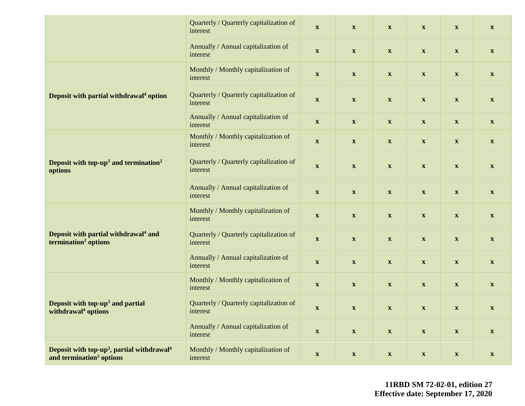|                                                                                                            | Quarterly / Quarterly capitalization of<br>interest | $\boldsymbol{\mathrm{X}}$ | $\boldsymbol{\mathrm{X}}$ | $\boldsymbol{\mathrm{X}}$ | $\boldsymbol{\mathrm{X}}$ | $\boldsymbol{\mathrm{X}}$ | $\boldsymbol{\mathrm{X}}$ |
|------------------------------------------------------------------------------------------------------------|-----------------------------------------------------|---------------------------|---------------------------|---------------------------|---------------------------|---------------------------|---------------------------|
|                                                                                                            | Annually / Annual capitalization of<br>interest     | $\boldsymbol{\mathrm{X}}$ | $\boldsymbol{\mathrm{X}}$ | $\boldsymbol{\mathrm{X}}$ | $\boldsymbol{\mathrm{X}}$ | $\boldsymbol{\mathrm{X}}$ | $\mathbf{X}$              |
|                                                                                                            | Monthly / Monthly capitalization of<br>interest     | $\mathbf X$               | $\boldsymbol{\mathrm{X}}$ | $\boldsymbol{\mathrm{X}}$ | $\boldsymbol{\mathrm{X}}$ | $\boldsymbol{\mathrm{X}}$ | $\boldsymbol{\mathrm{X}}$ |
| Deposit with partial withdrawal <sup>4</sup> option                                                        | Quarterly / Quarterly capitalization of<br>interest | $\boldsymbol{\mathrm{X}}$ | $\boldsymbol{\mathrm{X}}$ | $\boldsymbol{\mathrm{X}}$ | $\boldsymbol{\mathrm{X}}$ | $\boldsymbol{\mathrm{X}}$ | $\mathbf{X}$              |
|                                                                                                            | Annually / Annual capitalization of<br>interest     | $\boldsymbol{\mathrm{X}}$ | $\boldsymbol{\mathrm{X}}$ | $\boldsymbol{\mathrm{X}}$ | $\mathbf{X}$              | $\boldsymbol{\mathrm{X}}$ | $\mathbf{X}$              |
|                                                                                                            | Monthly / Monthly capitalization of<br>interest     | $\mathbf X$               | $\boldsymbol{\mathrm{X}}$ | $\boldsymbol{\mathrm{X}}$ | $\boldsymbol{\mathrm{X}}$ | $\boldsymbol{\mathrm{X}}$ | $\boldsymbol{\mathrm{X}}$ |
| Deposit with top-up <sup>3</sup> and termination <sup>2</sup><br>options                                   | Quarterly / Quarterly capitalization of<br>interest | $\boldsymbol{\mathrm{X}}$ | $\boldsymbol{\mathrm{X}}$ | $\boldsymbol{\mathrm{X}}$ | $\boldsymbol{\mathrm{X}}$ | $\boldsymbol{\mathrm{X}}$ | $\boldsymbol{\mathrm{X}}$ |
|                                                                                                            | Annually / Annual capitalization of<br>interest     | $\mathbf X$               | $\boldsymbol{\mathrm{X}}$ | $\boldsymbol{\mathrm{X}}$ | $\boldsymbol{\mathrm{X}}$ | $\boldsymbol{\mathrm{X}}$ | $\boldsymbol{\mathrm{X}}$ |
|                                                                                                            | Monthly / Monthly capitalization of<br>interest     | $\boldsymbol{\mathrm{X}}$ | $\boldsymbol{\mathrm{X}}$ | $\boldsymbol{\mathrm{X}}$ | $\boldsymbol{\mathrm{X}}$ | $\boldsymbol{\mathrm{X}}$ | $\mathbf{X}$              |
| Deposit with partial withdrawal <sup>4</sup> and<br>termination <sup>2</sup> options                       | Quarterly / Quarterly capitalization of<br>interest | $\boldsymbol{\mathrm{X}}$ | $\boldsymbol{\mathrm{X}}$ | $\boldsymbol{\mathrm{X}}$ | $\mathbf{X}$              | $\boldsymbol{\mathrm{X}}$ | $\mathbf{X}$              |
|                                                                                                            | Annually / Annual capitalization of<br>interest     | $\boldsymbol{\mathrm{X}}$ | $\boldsymbol{\mathrm{X}}$ | $\boldsymbol{\mathrm{X}}$ | $\boldsymbol{\mathrm{X}}$ | $\boldsymbol{\mathrm{X}}$ | $\boldsymbol{\mathrm{X}}$ |
|                                                                                                            | Monthly / Monthly capitalization of<br>interest     | $\boldsymbol{\mathrm{X}}$ | $\boldsymbol{\mathrm{X}}$ | $\boldsymbol{\mathrm{X}}$ | $\boldsymbol{\mathrm{X}}$ | $\boldsymbol{\mathrm{X}}$ | $\boldsymbol{\mathrm{X}}$ |
| Deposit with top-up <sup>3</sup> and partial<br>withdrawal <sup>4</sup> options                            | Quarterly / Quarterly capitalization of<br>interest | $\boldsymbol{\mathrm{X}}$ | $\boldsymbol{\mathrm{X}}$ | $\boldsymbol{\mathrm{X}}$ | $\boldsymbol{\mathrm{X}}$ | $\boldsymbol{\mathrm{X}}$ | $\mathbf{X}$              |
|                                                                                                            | Annually / Annual capitalization of<br>interest     | $\boldsymbol{\mathrm{X}}$ | $\boldsymbol{\mathrm{X}}$ | $\boldsymbol{\mathrm{X}}$ | $\boldsymbol{\mathrm{X}}$ | $\boldsymbol{\mathrm{X}}$ | $\boldsymbol{\mathrm{X}}$ |
| Deposit with top-up <sup>3</sup> , partial withdrawal <sup>4</sup><br>and termination <sup>2</sup> options | Monthly / Monthly capitalization of<br>interest     | $\boldsymbol{\mathrm{X}}$ | $\mathbf{X}$              | $\boldsymbol{\mathrm{X}}$ | $\boldsymbol{\mathrm{X}}$ | $\boldsymbol{\mathrm{X}}$ | $\boldsymbol{\mathrm{X}}$ |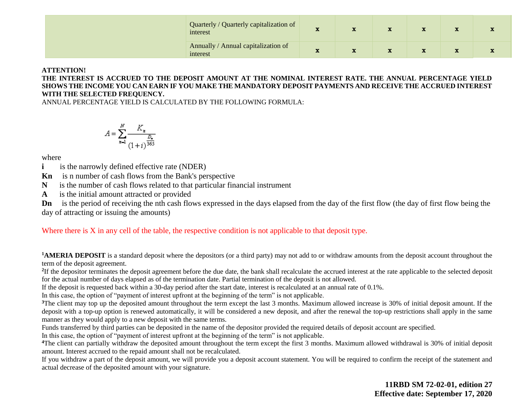| Quarterly / Quarterly capitalization of<br>interest | л. |  |  |  |
|-----------------------------------------------------|----|--|--|--|
| Annually / Annual capitalization of<br>interest     |    |  |  |  |

#### **ATTENTION!**

**THE INTEREST IS ACCRUED TO THE DEPOSIT AMOUNT AT THE NOMINAL INTEREST RATE. THE ANNUAL PERCENTAGE YIELD SHOWS THE INCOME YOU CAN EARN IF YOU MAKE THE MANDATORY DEPOSIT PAYMENTS AND RECEIVE THE ACCRUED INTEREST WITH THE SELECTED FREQUENCY.** 

ANNUAL PERCENTAGE YIELD IS CALCULATED BY THE FOLLOWING FORMULA:

$$
A = \sum_{n=1}^{N} \frac{K_n}{(1+i)^{\frac{D_n}{365}}}
$$

where

**i** is the narrowly defined effective rate (NDER)

**Kn** is n number of cash flows from the Bank's perspective

**N** is the number of cash flows related to that particular financial instrument

**A** is the initial amount attracted or provided

**Dn** is the period of receiving the nth cash flows expressed in the days elapsed from the day of the first flow (the day of first flow being the day of attracting or issuing the amounts)

Where there is X in any cell of the table, the respective condition is not applicable to that deposit type.

<sup>1</sup>**AMERIA DEPOSIT** is a standard deposit where the depositors (or a third party) may not add to or withdraw amounts from the deposit account throughout the term of the deposit agreement.

<sup>2</sup>If the depositor terminates the deposit agreement before the due date, the bank shall recalculate the accrued interest at the rate applicable to the selected deposit for the actual number of days elapsed as of the termination date. Partial termination of the deposit is not allowed.

If the deposit is requested back within a 30-day period after the start date, interest is recalculated at an annual rate of 0.1%.

In this case, the option of "payment of interest upfront at the beginning of the term" is not applicable.

<sup>3</sup>The client may top up the deposited amount throughout the term except the last 3 months. Maximum allowed increase is 30% of initial deposit amount. If the deposit with a top-up option is renewed automatically, it will be considered a new deposit, and after the renewal the top-up restrictions shall apply in the same manner as they would apply to a new deposit with the same terms.

Funds transferred by third parties can be deposited in the name of the depositor provided the required details of deposit account are specified.

In this case, the option of "payment of interest upfront at the beginning of the term" is not applicable.

<sup>4</sup>The client can partially withdraw the deposited amount throughout the term except the first 3 months. Maximum allowed withdrawal is 30% of initial deposit amount. Interest accrued to the repaid amount shall not be recalculated.

If you withdraw a part of the deposit amount, we will provide you a deposit account statement. You will be required to confirm the receipt of the statement and actual decrease of the deposited amount with your signature.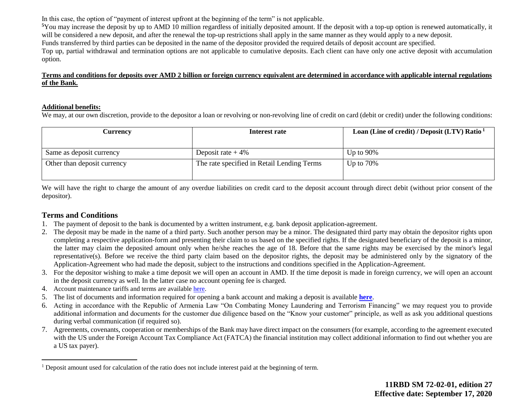In this case, the option of "payment of interest upfront at the beginning of the term" is not applicable.

**<sup>5</sup>**You may increase the deposit by up to AMD 10 million regardless of initially deposited amount. If the deposit with a top-up option is renewed automatically, it will be considered a new deposit, and after the renewal the top-up restrictions shall apply in the same manner as they would apply to a new deposit. Funds transferred by third parties can be deposited in the name of the depositor provided the required details of deposit account are specified. Top up, partial withdrawal and termination options are not applicable to cumulative deposits. Each client can have only one active deposit with accumulation option.

#### **Terms and conditions for deposits over AMD 2 billion or foreign currency equivalent are determined in accordance with applicable internal regulations of the Bank.**

#### **Additional benefits:**

We may, at our own discretion, provide to the depositor a loan or revolving or non-revolving line of credit on card (debit or credit) under the following conditions:

| Currencv                    | Interest rate                              | Loan (Line of credit) / Deposit (LTV) Ratio $1$ |
|-----------------------------|--------------------------------------------|-------------------------------------------------|
|                             |                                            |                                                 |
| Same as deposit currency    | Deposit rate $+4\%$                        | Up to $90\%$                                    |
| Other than deposit currency | The rate specified in Retail Lending Terms | Up to $70\%$                                    |
|                             |                                            |                                                 |

We will have the right to charge the amount of any overdue liabilities on credit card to the deposit account through direct debit (without prior consent of the depositor).

### **Terms and Conditions**

 $\overline{a}$ 

- 1. The payment of deposit to the bank is documented by a written instrument, e.g. bank deposit application-agreement.
- 2. The deposit may be made in the name of a third party. Such another person may be a minor. The designated third party may obtain the depositor rights upon completing a respective application-form and presenting their claim to us based on the specified rights. If the designated beneficiary of the deposit is a minor, the latter may claim the deposited amount only when he/she reaches the age of 18. Before that the same rights may be exercised by the minor's legal representative(s). Before we receive the third party claim based on the depositor rights, the deposit may be administered only by the signatory of the Application-Agreement who had made the deposit, subject to the instructions and conditions specified in the Application-Agreement.
- 3. For the depositor wishing to make a time deposit we will open an account in AMD. If the time deposit is made in foreign currency, we will open an account in the deposit currency as well. In the latter case no account opening fee is charged.
- 4. Account maintenance tariffs and terms are availabl[e here.](https://ameriabank.am/content.aspx?id=openning+and+service+of+bank+accounts+(retail)&page=99&itm=account&lang=28)
- 5. The list of documents and information required for opening a bank account and making a deposit is available **[here](https://ameriabank.am/userfiles/file/Account_openning_required_documents_2.pdf)**.
- 6. Acting in accordance with the Republic of Armenia Law "On Combating Money Laundering and Terrorism Financing" we may request you to provide additional information and documents for the customer due diligence based on the "Know your customer" principle, as well as ask you additional questions during verbal communication (if required so).
- 7. Agreements, covenants, cooperation or memberships of the Bank may have direct impact on the consumers (for example, according to the agreement executed with the US under the Foreign Account Tax Compliance Act (FATCA) the financial institution may collect additional information to find out whether you are a US tax payer).

<sup>&</sup>lt;sup>1</sup> Deposit amount used for calculation of the ratio does not include interest paid at the beginning of term.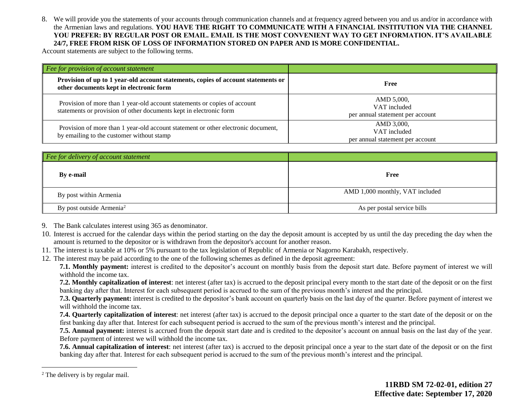8. We will provide you the statements of your accounts through communication channels and at frequency agreed between you and us and/or in accordance with the Armenian laws and regulations. **YOU HAVE THE RIGHT TO COMMUNICATE WITH A FINANCIAL INSTITUTION VIA THE CHANNEL YOU PREFER: BY REGULAR POST OR EMAIL. EMAIL IS THE MOST CONVENIENT WAY TO GET INFORMATION. IT'S AVAILABLE 24/7, FREE FROM RISK OF LOSS OF INFORMATION STORED ON PAPER AND IS MORE CONFIDENTIAL.**

Account statements are subject to the following terms.

| Fee for provision of account statement                                                                                                          |                                                                |
|-------------------------------------------------------------------------------------------------------------------------------------------------|----------------------------------------------------------------|
| Provision of up to 1 year-old account statements, copies of account statements or<br>other documents kept in electronic form                    | Free                                                           |
| Provision of more than 1 year-old account statements or copies of account<br>statements or provision of other documents kept in electronic form | AMD 5,000,<br>VAT included<br>per annual statement per account |
| Provision of more than 1 year-old account statement or other electronic document,<br>by emailing to the customer without stamp                  | AMD 3,000,<br>VAT included<br>per annual statement per account |

| Fee for delivery of account statement |                                 |
|---------------------------------------|---------------------------------|
| <b>By e-mail</b>                      | Free                            |
| By post within Armenia                | AMD 1,000 monthly, VAT included |
| By post outside Armenia <sup>2</sup>  | As per postal service bills     |

- 9. The Bank calculates interest using 365 as denominator.
- 10. Interest is accrued for the calendar days within the period starting on the day the deposit amount is accepted by us until the day preceding the day when the amount is returned to the depositor or is withdrawn from the depositor's account for another reason.
- 11. The interest is taxable at 10% or 5% pursuant to the tax legislation of Republic of Armenia or Nagorno Karabakh, respectively.
- 12. The interest may be paid according to the one of the following schemes as defined in the deposit agreement:

**7.1. Monthly payment:** interest is credited to the depositor's account on monthly basis from the deposit start date. Before payment of interest we will withhold the income tax.

**7.2. Monthly capitalization of interest**: net interest (after tax) is accrued to the deposit principal every month to the start date of the deposit or on the first banking day after that. Interest for each subsequent period is accrued to the sum of the previous month's interest and the principal.

**7.3. Quarterly payment:** interest is credited to the depositor's bank account on quarterly basis on the last day of the quarter. Before payment of interest we will withhold the income tax.

**7.4. Quarterly capitalization of interest**: net interest (after tax) is accrued to the deposit principal once a quarter to the start date of the deposit or on the first banking day after that. Interest for each subsequent period is accrued to the sum of the previous month's interest and the principal.

**7.5. Annual payment:** interest is accrued from the deposit start date and is credited to the depositor's account on annual basis on the last day of the year. Before payment of interest we will withhold the income tax.

**7.6. Annual capitalization of interest**: net interest (after tax) is accrued to the deposit principal once a year to the start date of the deposit or on the first banking day after that. Interest for each subsequent period is accrued to the sum of the previous month's interest and the principal.

 $\overline{a}$ 

<sup>&</sup>lt;sup>2</sup> The delivery is by regular mail.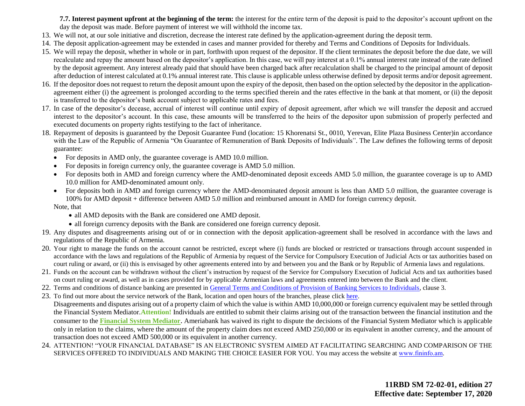**7.7. Interest payment upfront at the beginning of the term:** the interest for the entire term of the deposit is paid to the depositor's account upfront on the day the deposit was made. Before payment of interest we will withhold the income tax.

- 13. We will not, at our sole initiative and discretion, decrease the interest rate defined by the application-agreement during the deposit term.
- 14. The deposit application-agreement may be extended in cases and manner provided for thereby and Terms and Conditions of Deposits for Individuals.
- 15. We will repay the deposit, whether in whole or in part, forthwith upon request of the depositor. If the client terminates the deposit before the due date, we will recalculate and repay the amount based on the depositor's application. In this case, we will pay interest at a 0.1% annual interest rate instead of the rate defined by the deposit agreement. Any interest already paid that should have been charged back after recalculation shall be charged to the principal amount of deposit after deduction of interest calculated at 0.1% annual interest rate. This clause is applicable unless otherwise defined by deposit terms and/or deposit agreement.
- 16. If the depositor does not request to return the deposit amount upon the expiry of the deposit, then based on the option selected by the depositor in the applicationagreement either (i) the agreement is prolonged according to the terms specified therein and the rates effective in the bank at that moment, or (ii) the deposit is transferred to the depositor's bank account subject to applicable rates and fees.
- 17. In case of the depositor's decease, accrual of interest will continue until expiry of deposit agreement, after which we will transfer the deposit and accrued interest to the depositor's account. In this case, these amounts will be transferred to the heirs of the depositor upon submission of properly perfected and executed documents on property rights testifying to the fact of inheritance.
- 18. Repayment of deposits is guaranteed by the Deposit Guarantee Fund (location: 15 Khorenatsi St., 0010, Yerevan, Elite Plaza Business Center)in accordance with the Law of the Republic of Armenia "On Guarantee of Remuneration of Bank Deposits of Individuals". The Law defines the following terms of deposit guarantee:
	- For deposits in AMD only, the guarantee coverage is AMD 10.0 million.
	- For deposits in foreign currency only, the guarantee coverage is AMD 5.0 million.
	- For deposits both in AMD and foreign currency where the AMD-denominated deposit exceeds AMD 5.0 million, the guarantee coverage is up to AMD 10.0 million for AMD-denominated amount only.
	- For deposits both in AMD and foreign currency where the AMD-denominated deposit amount is less than AMD 5.0 million, the guarantee coverage is 100% for AMD deposit + difference between AMD 5.0 million and reimbursed amount in AMD for foreign currency deposit. Note, that
		- all AMD deposits with the Bank are considered one AMD deposit.
		- all foreign currency deposits with the Bank are considered one foreign currency deposit.
- 19. Any disputes and disagreements arising out of or in connection with the deposit application-agreement shall be resolved in accordance with the laws and regulations of the Republic of Armenia.
- 20. Your right to manage the funds on the account cannot be restricted, except where (i) funds are blocked or restricted or transactions through account suspended in accordance with the laws and regulations of the Republic of Armenia by request of the Service for Compulsory Execution of Judicial Acts or tax authorities based on court ruling or award, or (ii) this is envisaged by other agreements entered into by and between you and the Bank or by Republic of Armenia laws and regulations.
- 21. Funds on the account can be withdrawn without the client's instruction by request of the Service for Compulsory Execution of Judicial Acts and tax authorities based on court ruling or award, as well as in cases provided for by applicable Armenian laws and agreements entered into between the Bank and the client.
- 22. Terms and conditions of distance banking are presented in [General Terms and Conditions of Provision of Banking Services to Individuals,](https://ameriabank.am/content.aspx?id=openning+and+service+of+bank+accounts+(retail)&page=99&itm=account&lang=28) clause 3.
- 23. To find out more about the service network of the Bank, location and open hours of the branches, please clic[k here.](https://ameriabank.am/infrastructure.aspx?lang=28) Disagreements and disputes arising out of a property claim of which the value is within AMD 10,000,000 or foreign currency equivalent may be settled through the Financial System Mediator.**Attention!** Individuals are entitled to submit their claims arising out of the transaction between the financial institution and the consumer to the **[Financial System Mediator](https://ameriabank.am/Page.aspx?id=423&lang=33)**. Ameriabank has waived its right to dispute the decisions of the Financial System Mediator which is applicable only in relation to the claims, where the amount of the property claim does not exceed AMD 250,000 or its equivalent in another currency, and the amount of transaction does not exceed AMD 500,000 or its equivalent in another currency.
- 24. ATTENTION! "YOUR FINANCIAL DATABASE" IS AN ELECTRONIC SYSTEM AIMED AT FACILITATING SEARCHING AND COMPARISON OF THE SERVICES OFFERED TO INDIVIDUALS AND MAKING THE CHOICE EASIER FOR YOU. You may access the website at www.fininfo.am.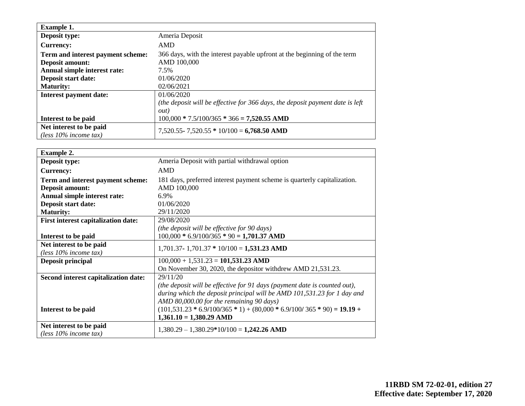| <b>Example 1.</b>                                   |                                                                               |
|-----------------------------------------------------|-------------------------------------------------------------------------------|
| Deposit type:                                       | Ameria Deposit                                                                |
| <b>Currency:</b>                                    | AMD                                                                           |
| Term and interest payment scheme:                   | 366 days, with the interest payable upfront at the beginning of the term      |
| <b>Deposit amount:</b>                              | AMD 100,000                                                                   |
| Annual simple interest rate:                        | 7.5%                                                                          |
| Deposit start date:                                 | 01/06/2020                                                                    |
| <b>Maturity:</b>                                    | 02/06/2021                                                                    |
| <b>Interest payment date:</b>                       | 01/06/2020                                                                    |
|                                                     | (the deposit will be effective for 366 days, the deposit payment date is left |
|                                                     | <i>out</i> )                                                                  |
| Interest to be paid                                 | $100,000 * 7.5/100/365 * 366 = 7,520.55$ AMD                                  |
| Net interest to be paid<br>(less $10\%$ income tax) | $7,520.55 - 7,520.55 * 10/100 = 6,768.50$ AMD                                 |

| <b>Example 2.</b>                          |                                                                           |
|--------------------------------------------|---------------------------------------------------------------------------|
| Deposit type:                              | Ameria Deposit with partial withdrawal option                             |
| <b>Currency:</b>                           | <b>AMD</b>                                                                |
| Term and interest payment scheme:          | 181 days, preferred interest payment scheme is quarterly capitalization.  |
| <b>Deposit amount:</b>                     | AMD 100,000                                                               |
| Annual simple interest rate:               | 6.9%                                                                      |
| Deposit start date:                        | 01/06/2020                                                                |
| <b>Maturity:</b>                           | 29/11/2020                                                                |
| <b>First interest capitalization date:</b> | 29/08/2020                                                                |
|                                            | (the deposit will be effective for 90 days)                               |
| Interest to be paid                        | $100,000 * 6.9/100/365 * 90 = 1,701.37$ AMD                               |
| Net interest to be paid                    | $1,701.37 - 1,701.37 * 10/100 = 1,531.23$ AMD                             |
| (less $10\%$ income tax)                   |                                                                           |
| Deposit principal                          | $100,000 + 1,531.23 = 101,531.23$ AMD                                     |
|                                            | On November 30, 2020, the depositor with drew AMD 21,531.23.              |
| Second interest capitalization date:       | 29/11/20                                                                  |
|                                            | (the deposit will be effective for 91 days (payment date is counted out), |
|                                            | during which the deposit principal will be AMD 101,531.23 for 1 day and   |
|                                            | AMD 80,000.00 for the remaining 90 days)                                  |
| Interest to be paid                        | $(101,531.23 * 6.9/100/365 * 1) + (80,000 * 6.9/100/365 * 90) = 19.19 +$  |
|                                            | $1,361.10 = 1,380.29$ AMD                                                 |
| Net interest to be paid                    | $1,380.29 - 1,380.29*10/100 = 1,242.26$ AMD                               |
| (less $10\%$ income tax)                   |                                                                           |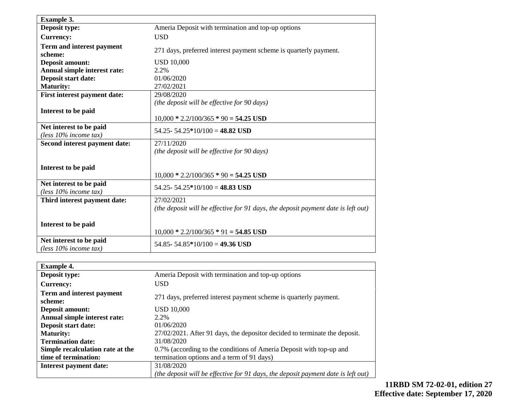| <b>Example 3.</b>                                   |                                                                                   |
|-----------------------------------------------------|-----------------------------------------------------------------------------------|
| Deposit type:                                       | Ameria Deposit with termination and top-up options                                |
| <b>Currency:</b>                                    | <b>USD</b>                                                                        |
| Term and interest payment<br>scheme:                | 271 days, preferred interest payment scheme is quarterly payment.                 |
| <b>Deposit amount:</b>                              | <b>USD 10,000</b>                                                                 |
| Annual simple interest rate:                        | 2.2%                                                                              |
| Deposit start date:                                 | 01/06/2020                                                                        |
| <b>Maturity:</b>                                    | 27/02/2021                                                                        |
| First interest payment date:                        | 29/08/2020                                                                        |
|                                                     | (the deposit will be effective for 90 days)                                       |
| Interest to be paid                                 |                                                                                   |
|                                                     | $10,000 * 2.2/100/365 * 90 = 54.25$ USD                                           |
| Net interest to be paid<br>(less 10% income tax)    | 54.25 - 54.25 * 10/100 = 48.82 USD                                                |
| Second interest payment date:                       | 27/11/2020                                                                        |
|                                                     | (the deposit will be effective for 90 days)                                       |
| Interest to be paid                                 |                                                                                   |
|                                                     | $10,000 * 2.2/100/365 * 90 = 54.25$ USD                                           |
| Net interest to be paid<br>(less $10\%$ income tax) | 54.25 - 54.25 * 10/100 = 48.83 USD                                                |
| Third interest payment date:                        | 27/02/2021                                                                        |
|                                                     | (the deposit will be effective for 91 days, the deposit payment date is left out) |
|                                                     |                                                                                   |
| Interest to be paid                                 |                                                                                   |
|                                                     | $10,000 * 2.2/100/365 * 91 = 54.85$ USD                                           |
| Net interest to be paid                             | 54.85 - 54.85 * 10/100 = 49.36 USD                                                |
| (less $10\%$ income tax)                            |                                                                                   |

| <b>Example 4.</b>                |                                                                                   |
|----------------------------------|-----------------------------------------------------------------------------------|
| Deposit type:                    | Ameria Deposit with termination and top-up options                                |
| <b>Currency:</b>                 | USD.                                                                              |
| Term and interest payment        | 271 days, preferred interest payment scheme is quarterly payment.                 |
| scheme:                          |                                                                                   |
| <b>Deposit amount:</b>           | <b>USD 10,000</b>                                                                 |
| Annual simple interest rate:     | 2.2%                                                                              |
| Deposit start date:              | 01/06/2020                                                                        |
| <b>Maturity:</b>                 | 27/02/2021. After 91 days, the depositor decided to terminate the deposit.        |
| <b>Termination date:</b>         | 31/08/2020                                                                        |
| Simple recalculation rate at the | 0.7% (according to the conditions of Ameria Deposit with top-up and               |
| time of termination:             | termination options and a term of 91 days)                                        |
| Interest payment date:           | 31/08/2020                                                                        |
|                                  | (the deposit will be effective for 91 days, the deposit payment date is left out) |